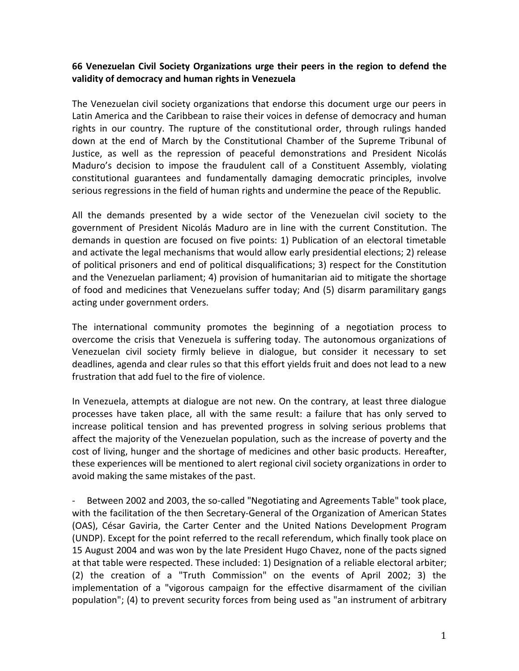## **66 Venezuelan Civil Society Organizations urge their peers in the region to defend the validity of democracy and human rights in Venezuela**

The Venezuelan civil society organizations that endorse this document urge our peers in Latin America and the Caribbean to raise their voices in defense of democracy and human rights in our country. The rupture of the constitutional order, through rulings handed down at the end of March by the Constitutional Chamber of the Supreme Tribunal of Justice, as well as the repression of peaceful demonstrations and President Nicolás Maduro's decision to impose the fraudulent call of a Constituent Assembly, violating constitutional guarantees and fundamentally damaging democratic principles, involve serious regressions in the field of human rights and undermine the peace of the Republic.

All the demands presented by a wide sector of the Venezuelan civil society to the government of President Nicolás Maduro are in line with the current Constitution. The demands in question are focused on five points: 1) Publication of an electoral timetable and activate the legal mechanisms that would allow early presidential elections; 2) release of political prisoners and end of political disqualifications; 3) respect for the Constitution and the Venezuelan parliament; 4) provision of humanitarian aid to mitigate the shortage of food and medicines that Venezuelans suffer today; And (5) disarm paramilitary gangs acting under government orders.

The international community promotes the beginning of a negotiation process to overcome the crisis that Venezuela is suffering today. The autonomous organizations of Venezuelan civil society firmly believe in dialogue, but consider it necessary to set deadlines, agenda and clear rules so that this effort yields fruit and does not lead to a new frustration that add fuel to the fire of violence.

In Venezuela, attempts at dialogue are not new. On the contrary, at least three dialogue processes have taken place, all with the same result: a failure that has only served to increase political tension and has prevented progress in solving serious problems that affect the majority of the Venezuelan population, such as the increase of poverty and the cost of living, hunger and the shortage of medicines and other basic products. Hereafter, these experiences will be mentioned to alert regional civil society organizations in order to avoid making the same mistakes of the past.

Between 2002 and 2003, the so-called "Negotiating and Agreements Table" took place, with the facilitation of the then Secretary-General of the Organization of American States (OAS), César Gaviria, the Carter Center and the United Nations Development Program (UNDP). Except for the point referred to the recall referendum, which finally took place on 15 August 2004 and was won by the late President Hugo Chavez, none of the pacts signed at that table were respected. These included: 1) Designation of a reliable electoral arbiter; (2) the creation of a "Truth Commission" on the events of April 2002; 3) the implementation of a "vigorous campaign for the effective disarmament of the civilian population"; (4) to prevent security forces from being used as "an instrument of arbitrary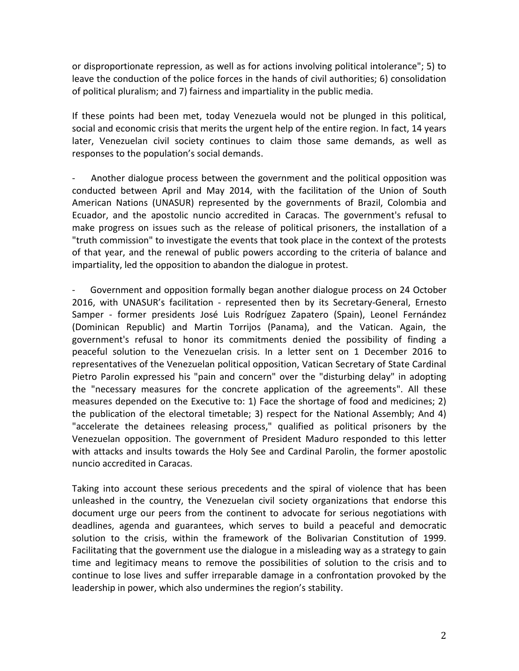or disproportionate repression, as well as for actions involving political intolerance"; 5) to leave the conduction of the police forces in the hands of civil authorities; 6) consolidation of political pluralism; and 7) fairness and impartiality in the public media.

If these points had been met, today Venezuela would not be plunged in this political, social and economic crisis that merits the urgent help of the entire region. In fact, 14 years later, Venezuelan civil society continues to claim those same demands, as well as responses to the population's social demands.

- Another dialogue process between the government and the political opposition was conducted between April and May 2014, with the facilitation of the Union of South American Nations (UNASUR) represented by the governments of Brazil, Colombia and Ecuador, and the apostolic nuncio accredited in Caracas. The government's refusal to make progress on issues such as the release of political prisoners, the installation of a "truth commission" to investigate the events that took place in the context of the protests of that year, and the renewal of public powers according to the criteria of balance and impartiality, led the opposition to abandon the dialogue in protest.

- Government and opposition formally began another dialogue process on 24 October 2016, with UNASUR's facilitation - represented then by its Secretary-General, Ernesto Samper - former presidents José Luis Rodríguez Zapatero (Spain), Leonel Fernández (Dominican Republic) and Martin Torrijos (Panama), and the Vatican. Again, the government's refusal to honor its commitments denied the possibility of finding a peaceful solution to the Venezuelan crisis. In a letter sent on 1 December 2016 to representatives of the Venezuelan political opposition, Vatican Secretary of State Cardinal Pietro Parolin expressed his "pain and concern" over the "disturbing delay" in adopting the "necessary measures for the concrete application of the agreements". All these measures depended on the Executive to: 1) Face the shortage of food and medicines; 2) the publication of the electoral timetable; 3) respect for the National Assembly; And 4) "accelerate the detainees releasing process," qualified as political prisoners by the Venezuelan opposition. The government of President Maduro responded to this letter with attacks and insults towards the Holy See and Cardinal Parolin, the former apostolic nuncio accredited in Caracas.

Taking into account these serious precedents and the spiral of violence that has been unleashed in the country, the Venezuelan civil society organizations that endorse this document urge our peers from the continent to advocate for serious negotiations with deadlines, agenda and guarantees, which serves to build a peaceful and democratic solution to the crisis, within the framework of the Bolivarian Constitution of 1999. Facilitating that the government use the dialogue in a misleading way as a strategy to gain time and legitimacy means to remove the possibilities of solution to the crisis and to continue to lose lives and suffer irreparable damage in a confrontation provoked by the leadership in power, which also undermines the region's stability.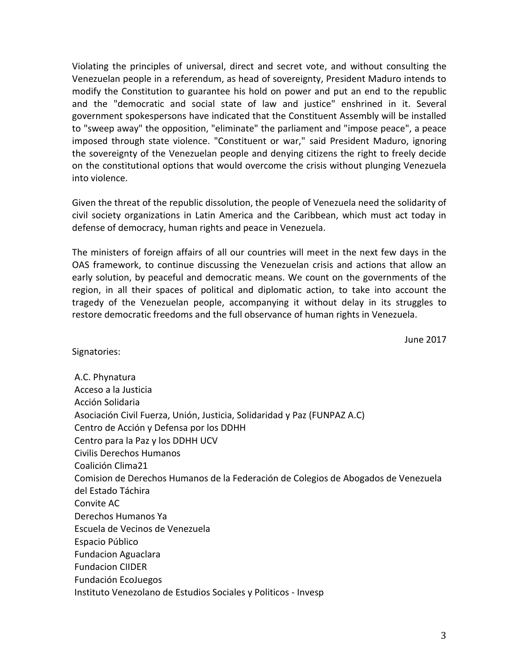Violating the principles of universal, direct and secret vote, and without consulting the Venezuelan people in a referendum, as head of sovereignty, President Maduro intends to modify the Constitution to guarantee his hold on power and put an end to the republic and the "democratic and social state of law and justice" enshrined in it. Several government spokespersons have indicated that the Constituent Assembly will be installed to "sweep away" the opposition, "eliminate" the parliament and "impose peace", a peace imposed through state violence. "Constituent or war," said President Maduro, ignoring the sovereignty of the Venezuelan people and denying citizens the right to freely decide on the constitutional options that would overcome the crisis without plunging Venezuela into violence.

Given the threat of the republic dissolution, the people of Venezuela need the solidarity of civil society organizations in Latin America and the Caribbean, which must act today in defense of democracy, human rights and peace in Venezuela.

The ministers of foreign affairs of all our countries will meet in the next few days in the OAS framework, to continue discussing the Venezuelan crisis and actions that allow an early solution, by peaceful and democratic means. We count on the governments of the region, in all their spaces of political and diplomatic action, to take into account the tragedy of the Venezuelan people, accompanying it without delay in its struggles to restore democratic freedoms and the full observance of human rights in Venezuela.

June 2017

Signatories:

A.C. Phynatura Acceso a la Justicia Acción Solidaria Asociación Civil Fuerza, Unión, Justicia, Solidaridad y Paz (FUNPAZ A.C) Centro de Acción y Defensa por los DDHH Centro para la Paz y los DDHH UCV Civilis Derechos Humanos Coalición Clima21 Comision de Derechos Humanos de la Federación de Colegios de Abogados de Venezuela del Estado Táchira Convite AC Derechos Humanos Ya Escuela de Vecinos de Venezuela Espacio Público Fundacion Aguaclara Fundacion CIIDER Fundación EcoJuegos Instituto Venezolano de Estudios Sociales y Politicos - Invesp